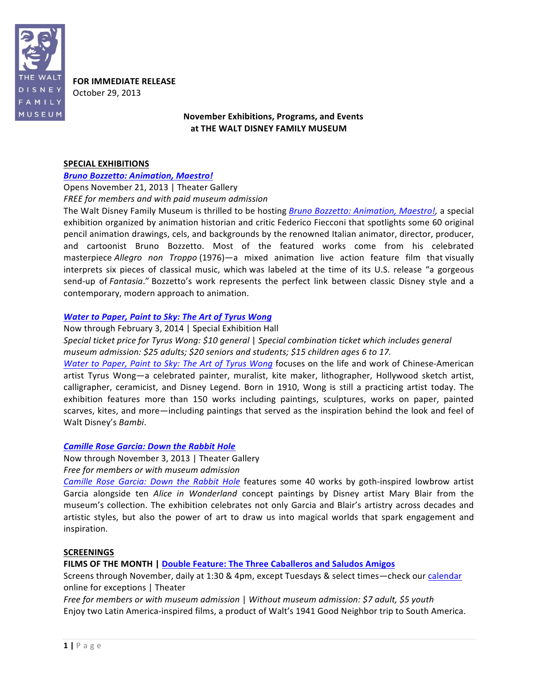

**FOR IMMEDIATE RELEASE** 

October+29,+2013

# **November"Exhibitions, Programs, and"Events** at THE WALT DISNEY FAMILY MUSEUM

### **SPECIAL EXHIBITIONS**

## **Bruno Bozzetto: Animation, Maestro!**

Opens November 21, 2013 | Theater Gallery **FREE for members and with paid museum admission** 

The Walt-Disney Family Museum is thrilled to be hosting *Bruno Bozzetto: Animation, Maestro!*, a special exhibition organized by animation historian and critic Federico Fiecconi that spotlights some 60 original pencil animation drawings, cels, and backgrounds by the renowned Italian animator, director, producer, and cartoonist Bruno Bozzetto. Most of the featured works come from his celebrated masterpiece *Allegro non Troppo* (1976)—a mixed animation live action feature film that visually interprets six pieces of classical music, which was labeled at the time of its U.S. release "a gorgeous send-up of *Fantasia*." Bozzetto's work represents the perfect link between classic Disney style and a contemporary, modern approach to animation.

### *Water to Paper, Paint to Sky: The Art of Tyrus Wong*

Now through February 3, 2014 | Special Exhibition Hall

*Special ticket price for Tyrus Wong: \$10 general | Special combination ticket which includes general museum admission: \$25 adults; \$20 seniors and students; \$15 children ages 6 to 17.* 

*Water to Paper, Paint to Sky: The Art of Tyrus Wong* focuses on the life and work of Chinese-American artist Tyrus Wong—a celebrated painter, muralist, kite maker, lithographer, Hollywood sketch artist, calligrapher, ceramicist, and Disney Legend. Born in 1910, Wong is still a practicing artist today. The exhibition features more than 150 works including paintings, sculptures, works on paper, painted scarves, kites, and more—including paintings that served as the inspiration behind the look and feel of Walt+Disney's+*Bambi*.

## **Camille Rose Garcia: Down the Rabbit Hole**

Now through November 3, 2013 | Theater Gallery Free for members or with museum admission

*Camille Rose Garcia: Down the Rabbit Hole* features some 40 works by goth-inspired lowbrow artist Garcia alongside ten *Alice in Wonderland* concept paintings by Disney artist Mary Blair from the museum's collection. The exhibition celebrates not only Garcia and Blair's artistry across decades and artistic styles, but also the power of art to draw us into magical worlds that spark engagement and inspiration.

#### **SCREENINGS"**

**FILMS OF THE MONTH | Double Feature: The Three Caballeros and Saludos Amigos** 

Screens through November, daily at 1:30 & 4pm, except Tuesdays & select times—check our calendar online for exceptions | Theater

*Free for members or with museum admission* | Without museum admission: \$7 adult, \$5 youth Enjoy two Latin America-inspired films, a product of Walt's 1941 Good Neighbor trip to South America.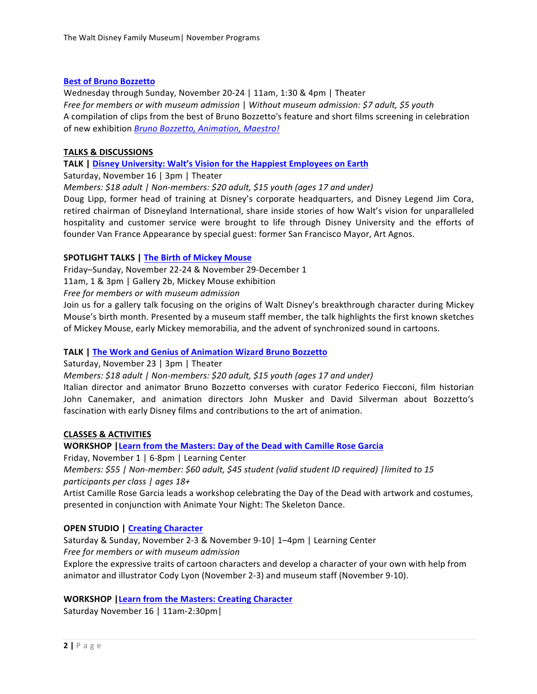### **Best of Bruno Bozzetto**

Wednesday through Sunday, November 20-24 | 11am, 1:30 & 4pm | Theater *Free for members or with museum admission* | Without museum admission: \$7 adult, \$5 youth A compilation of clips from the best of Bruno Bozzetto's feature and short films screening in celebration of new exhibition *Bruno Bozzetto, Animation, Maestro!* 

### **TALKS & DISCUSSIONS**

## TALK | Disney University: Walt's Vision for the Happiest Employees on Earth

Saturday, November 16 | 3pm | Theater

*Members:* \$18 adult | Non-members: \$20 adult, \$15 youth (ages 17 and under)

Doug Lipp, former head of training at Disney's corporate headquarters, and Disney Legend Jim Cora, retired chairman of Disneyland International, share inside stories of how Walt's vision for unparalleled hospitality and customer service were brought to life through Disney University and the efforts of founder Van France Appearance by special guest: former San Francisco Mayor, Art Agnos.

### **SPOTLIGHT TALKS | The Birth of Mickey Mouse**

Friday–Sunday, November 22-24 & November 29-December 1

11am, 1 & 3pm | Gallery 2b, Mickey Mouse exhibition

**Free for members or with museum admission** 

Join us for a gallery talk focusing on the origins of Walt Disney's breakthrough character during Mickey Mouse's birth month. Presented by a museum staff member, the talk highlights the first known sketches of Mickey Mouse, early Mickey memorabilia, and the advent of synchronized sound in cartoons.

## TALK | The Work and Genius of Animation Wizard Bruno Bozzetto

Saturday, November 23 | 3pm | Theater

*Members:* \$18 adult | Non-members: \$20 adult, \$15 youth (ages 17 and under)

Italian director and animator Bruno Bozzetto converses with curator Federico Fiecconi, film historian John Canemaker, and animation directors John Musker and David Silverman about Bozzetto's fascination with early Disney films and contributions to the art of animation.

# **CLASSES"& ACTIVITIES**

**WORKSHOP | Learn from the Masters: Day of the Dead with Camille Rose Garcia** 

Friday, November 1 | 6-8pm | Learning Center

*Members: \$55 | Non-member: \$60 adult, \$45 student (valid student ID required) | limited to 15 participants\$per\$class\$|\$ages\$18+*

Artist Camille Rose Garcia leads a workshop celebrating the Day of the Dead with artwork and costumes, presented in conjunction with Animate Your Night: The Skeleton Dance.

## **OPEN STUDIO | Creating Character**

Saturday & Sunday, November 2-3 & November 9-10| 1–4pm | Learning Center *Free for members or with museum admission* 

Explore the expressive traits of cartoon characters and develop a character of your own with help from animator and illustrator Cody Lyon (November 2-3) and museum staff (November 9-10).

## **WORKSHOP | Learn from the Masters: Creating Character**

Saturday November 16 | 11am-2:30pm |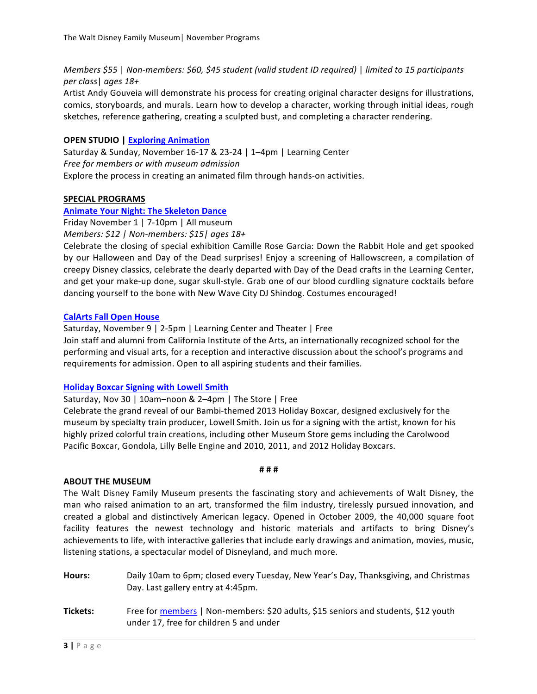*Members* \$55 | *Non-members: \$60, \$45 student (valid student ID required)* | *limited to 15 participants per\$class*|+*ages\$18+*

Artist Andy Gouveia will demonstrate his process for creating original character designs for illustrations, comics, storyboards, and murals. Learn how to develop a character, working through initial ideas, rough sketches, reference gathering, creating a sculpted bust, and completing a character rendering.

# **OPEN STUDIO | Exploring Animation**

Saturday & Sunday, November 16-17 & 23-24 | 1–4pm | Learning Center Free for members or with museum admission Explore the process in creating an animated film through hands-on activities.

### SPECIAL PROGRAMS

### **Animate Your Night: The Skeleton Dance**

Friday November 1 | 7-10pm | All museum *Members: \$12 | Non-members: \$15| ages 18+* 

Celebrate the closing of special exhibition Camille Rose Garcia: Down the Rabbit Hole and get spooked by our Halloween and Day of the Dead surprises! Enjoy a screening of Hallowscreen, a compilation of creepy Disney classics, celebrate the dearly departed with Day of the Dead crafts in the Learning Center, and get your make-up done, sugar skull-style. Grab one of our blood curdling signature cocktails before dancing yourself to the bone with New Wave City DJ Shindog. Costumes encouraged!

#### **CalArts Fall Open House**

Saturday, November 9 | 2-5pm | Learning Center and Theater | Free

Join staff and alumni from California Institute of the Arts, an internationally recognized school for the performing and visual arts, for a reception and interactive discussion about the school's programs and requirements for admission. Open to all aspiring students and their families.

# **Holiday Boxcar Signing with Lowell Smith**

Saturday, Nov 30 | 10am-noon & 2–4pm | The Store | Free

Celebrate the grand reveal of our Bambi-themed 2013 Holiday Boxcar, designed exclusively for the museum by specialty train producer, Lowell Smith. Join us for a signing with the artist, known for his highly prized colorful train creations, including other Museum Store gems including the Carolwood Pacific Boxcar, Gondola, Lilly Belle Engine and 2010, 2011, and 2012 Holiday Boxcars.

#### **#"#"#**

## **ABOUT THE MUSEUM**

The Walt-Disney Family Museum presents the fascinating story and achievements of Walt-Disney, the man who raised animation to an art, transformed the film industry, tirelessly pursued innovation, and created a global and distinctively American legacy. Opened in October 2009, the 40,000 square foot facility features the newest technology and historic materials and artifacts to bring Disney's achievements to life, with interactive galleries that include early drawings and animation, movies, music, listening stations, a spectacular model of Disneyland, and much more.

- Hours: Daily 10am to 6pm; closed every Tuesday, New Year's Day, Thanksgiving, and Christmas Day. Last gallery entry at 4:45pm.
- Tickets: Free for members | Non-members: \$20 adults, \$15 seniors and students, \$12 youth under 17, free for children 5 and under